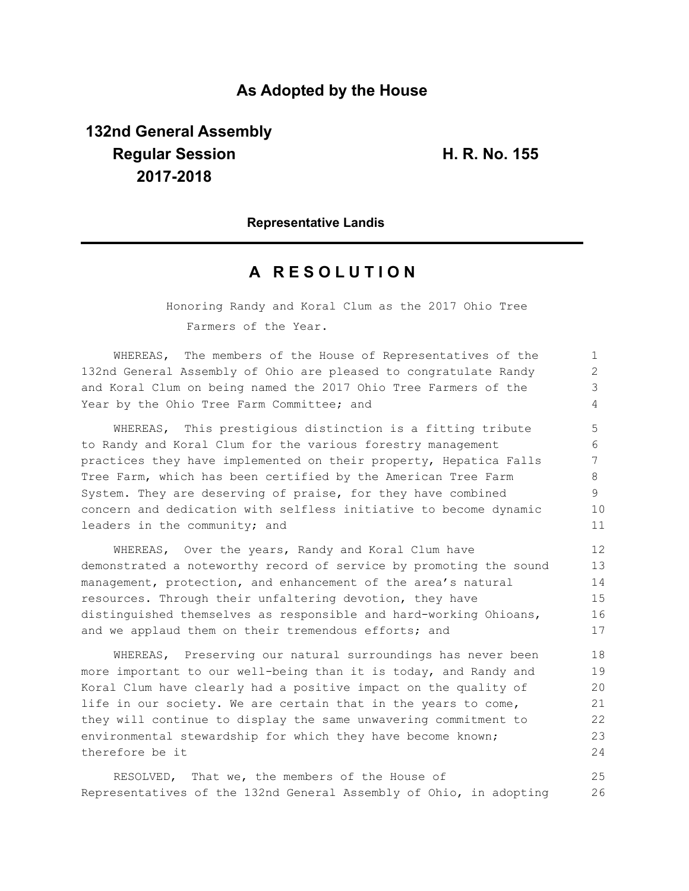## **As Adopted by the House**

# **132nd General Assembly Regular Session H. R. No. 155 2017-2018**

#### **Representative Landis**

## **A R E S O L U T I O N**

Honoring Randy and Koral Clum as the 2017 Ohio Tree Farmers of the Year.

WHEREAS, The members of the House of Representatives of the 132nd General Assembly of Ohio are pleased to congratulate Randy and Koral Clum on being named the 2017 Ohio Tree Farmers of the Year by the Ohio Tree Farm Committee; and

WHEREAS, This prestigious distinction is a fitting tribute to Randy and Koral Clum for the various forestry management practices they have implemented on their property, Hepatica Falls Tree Farm, which has been certified by the American Tree Farm System. They are deserving of praise, for they have combined concern and dedication with selfless initiative to become dynamic leaders in the community; and

WHEREAS, Over the years, Randy and Koral Clum have demonstrated a noteworthy record of service by promoting the sound management, protection, and enhancement of the area's natural resources. Through their unfaltering devotion, they have distinguished themselves as responsible and hard-working Ohioans, and we applaud them on their tremendous efforts; and 12 13 14 15 16 17

WHEREAS, Preserving our natural surroundings has never been more important to our well-being than it is today, and Randy and Koral Clum have clearly had a positive impact on the quality of life in our society. We are certain that in the years to come, they will continue to display the same unwavering commitment to environmental stewardship for which they have become known; therefore be it 18 19 20 21 22 23 24

RESOLVED, That we, the members of the House of Representatives of the 132nd General Assembly of Ohio, in adopting 25 26